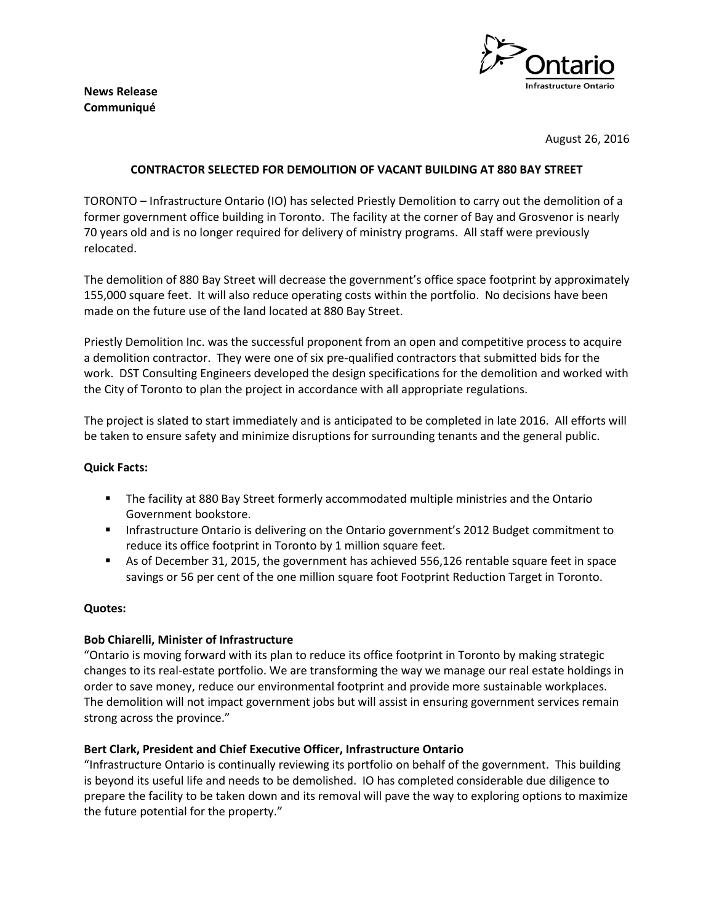**News Release Communiqué**



August 26, 2016

# **CONTRACTOR SELECTED FOR DEMOLITION OF VACANT BUILDING AT 880 BAY STREET**

TORONTO – Infrastructure Ontario (IO) has selected Priestly Demolition to carry out the demolition of a former government office building in Toronto. The facility at the corner of Bay and Grosvenor is nearly 70 years old and is no longer required for delivery of ministry programs. All staff were previously relocated.

The demolition of 880 Bay Street will decrease the government's office space footprint by approximately 155,000 square feet. It will also reduce operating costs within the portfolio. No decisions have been made on the future use of the land located at 880 Bay Street.

Priestly Demolition Inc. was the successful proponent from an open and competitive process to acquire a demolition contractor. They were one of six pre-qualified contractors that submitted bids for the work. DST Consulting Engineers developed the design specifications for the demolition and worked with the City of Toronto to plan the project in accordance with all appropriate regulations.

The project is slated to start immediately and is anticipated to be completed in late 2016. All efforts will be taken to ensure safety and minimize disruptions for surrounding tenants and the general public.

## **Quick Facts:**

- The facility at 880 Bay Street formerly accommodated multiple ministries and the Ontario Government bookstore.
- **Infrastructure Ontario is delivering on the Ontario government's 2012 Budget commitment to** reduce its office footprint in Toronto by 1 million square feet.
- As of December 31, 2015, the government has achieved 556,126 rentable square feet in space savings or 56 per cent of the one million square foot Footprint Reduction Target in Toronto.

### **Quotes:**

### **Bob Chiarelli, Minister of Infrastructure**

"Ontario is moving forward with its plan to reduce its office footprint in Toronto by making strategic changes to its real-estate portfolio. We are transforming the way we manage our real estate holdings in order to save money, reduce our environmental footprint and provide more sustainable workplaces. The demolition will not impact government jobs but will assist in ensuring government services remain strong across the province."

### **Bert Clark, President and Chief Executive Officer, Infrastructure Ontario**

"Infrastructure Ontario is continually reviewing its portfolio on behalf of the government. This building is beyond its useful life and needs to be demolished. IO has completed considerable due diligence to prepare the facility to be taken down and its removal will pave the way to exploring options to maximize the future potential for the property."